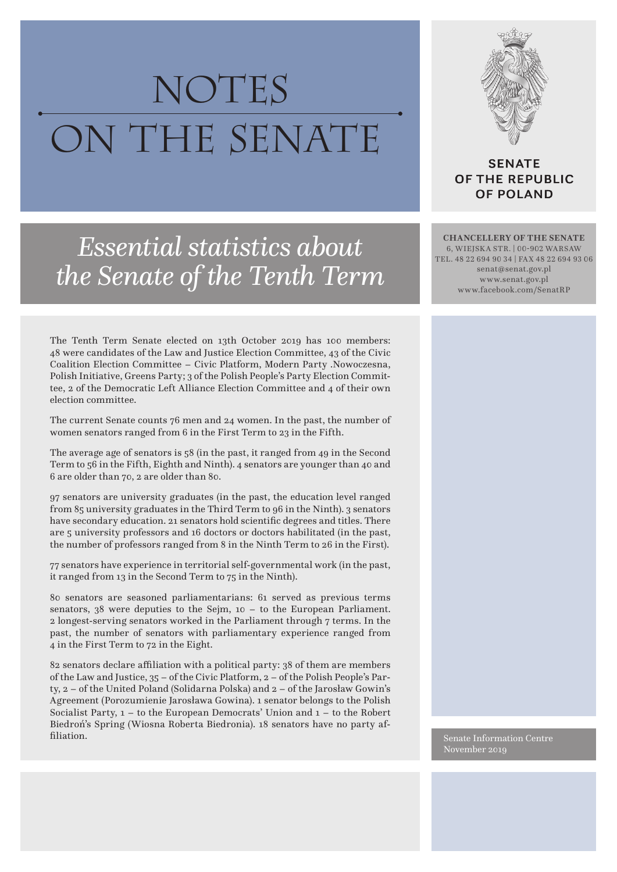## NOTES ON THE SENATE



**SENATE** OF THE REPUBLIC **OF POLAND** 

*Essential statistics about the Senate of the Tenth Term*

The Tenth Term Senate elected on 13th October 2019 has 100 members: 48 were candidates of the Law and Justice Election Committee, 43 of the Civic Coalition Election Committee – Civic Platform, Modern Party .Nowoczesna, Polish Initiative, Greens Party; 3 of the Polish People's Party Election Committee, 2 of the Democratic Left Alliance Election Committee and 4 of their own election committee.

The current Senate counts 76 men and 24 women. In the past, the number of women senators ranged from 6 in the First Term to 23 in the Fifth.

The average age of senators is 58 (in the past, it ranged from 49 in the Second Term to 56 in the Fifth, Eighth and Ninth). 4 senators are younger than 40 and 6 are older than 70, 2 are older than 80.

97 senators are university graduates (in the past, the education level ranged from 85 university graduates in the Third Term to 96 in the Ninth). 3 senators have secondary education. 21 senators hold scientific degrees and titles. There are 5 university professors and 16 doctors or doctors habilitated (in the past, the number of professors ranged from 8 in the Ninth Term to 26 in the First).

77 senators have experience in territorial self-governmental work (in the past, it ranged from 13 in the Second Term to 75 in the Ninth).

80 senators are seasoned parliamentarians: 61 served as previous terms senators, 38 were deputies to the Sejm, 10 – to the European Parliament. 2 longest-serving senators worked in the Parliament through 7 terms. In the past, the number of senators with parliamentary experience ranged from 4 in the First Term to 72 in the Eight.

82 senators declare affiliation with a political party: 38 of them are members of the Law and Justice, 35 – of the Civic Platform, 2 – of the Polish People's Party, 2 – of the United Poland (Solidarna Polska) and 2 – of the Jarosław Gowin's Agreement (Porozumienie Jarosława Gowina). 1 senator belongs to the Polish Socialist Party, 1 – to the European Democrats' Union and 1 – to the Robert Biedroń's Spring (Wiosna Roberta Biedronia). 18 senators have no party affiliation. Senate Information Centre

**CHANCELLERY OF THE SENATE** 6, Wiejska STR. | 00-902 WArsaw tel. 48 22 694 90 34 | fax 48 22 694 93 06 senat@senat.gov.pl www.senat.gov.pl www.facebook.com/SenatRP

November 2019